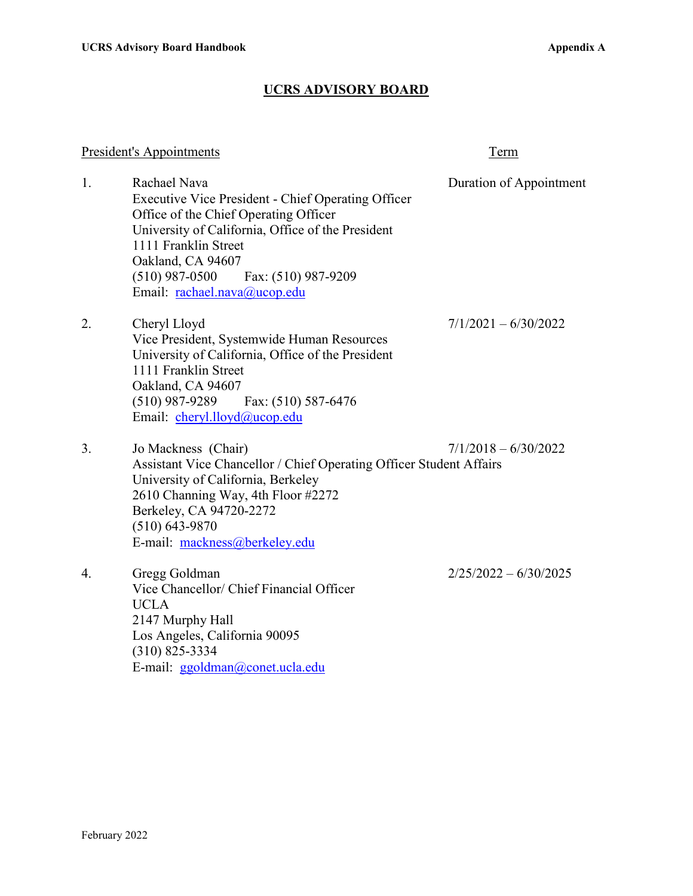## **UCRS ADVISORY BOARD**

## President's Appointments Term

| 1. | Rachael Nava<br>Executive Vice President - Chief Operating Officer<br>Office of the Chief Operating Officer<br>University of California, Office of the President<br>1111 Franklin Street<br>Oakland, CA 94607<br>$(510)$ 987-0500<br>Fax: (510) 987-9209<br>Email: rachael.nava@ucop.edu | Duration of Appointment |
|----|------------------------------------------------------------------------------------------------------------------------------------------------------------------------------------------------------------------------------------------------------------------------------------------|-------------------------|
| 2. | Cheryl Lloyd<br>Vice President, Systemwide Human Resources<br>University of California, Office of the President<br>1111 Franklin Street<br>Oakland, CA 94607<br>$(510)$ 987-9289 Fax: $(510)$ 587-6476<br>Email: cheryl.lloyd@ucop.edu                                                   | $7/1/2021 - 6/30/2022$  |
| 3. | Jo Mackness (Chair)<br>Assistant Vice Chancellor / Chief Operating Officer Student Affairs<br>University of California, Berkeley<br>2610 Channing Way, 4th Floor #2272<br>Berkeley, CA 94720-2272<br>$(510) 643 - 9870$<br>E-mail: mackness@berkeley.edu                                 | $7/1/2018 - 6/30/2022$  |
| 4. | Gregg Goldman<br>Vice Chancellor/ Chief Financial Officer<br><b>UCLA</b><br>2147 Murphy Hall<br>Los Angeles, California 90095<br>$(310)$ 825-3334<br>E-mail: ggoldman@conet.ucla.edu                                                                                                     | $2/25/2022 - 6/30/2025$ |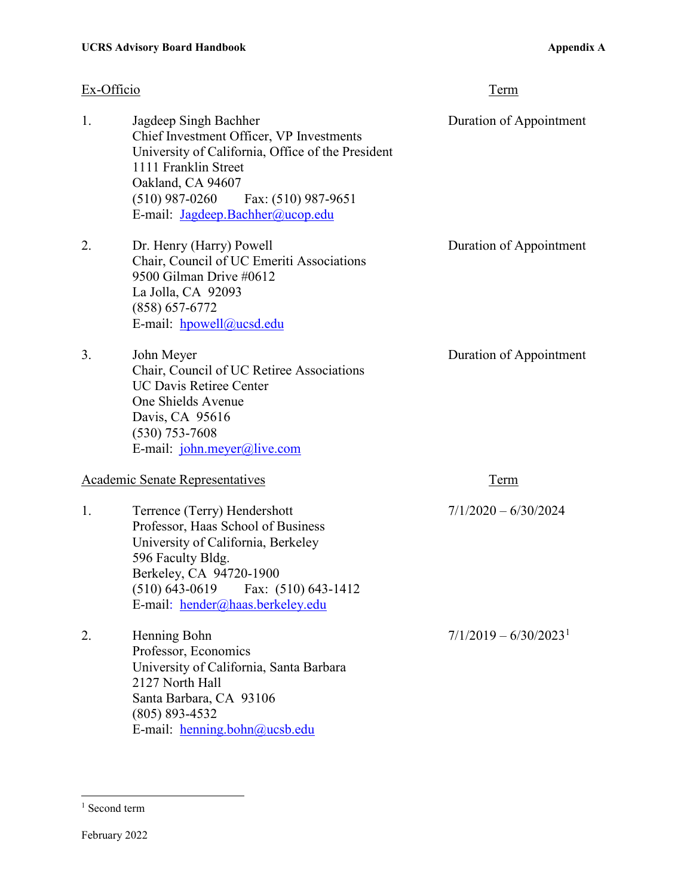| Ex-Officio                             |                                                                                                                                                                                                                                                    | <b>Term</b>                         |
|----------------------------------------|----------------------------------------------------------------------------------------------------------------------------------------------------------------------------------------------------------------------------------------------------|-------------------------------------|
| 1.                                     | Jagdeep Singh Bachher<br>Chief Investment Officer, VP Investments<br>University of California, Office of the President<br>1111 Franklin Street<br>Oakland, CA 94607<br>$(510)$ 987-0260<br>Fax: (510) 987-9651<br>E-mail: Jagdeep.Bachher@ucop.edu | Duration of Appointment             |
| 2.                                     | Dr. Henry (Harry) Powell<br>Chair, Council of UC Emeriti Associations<br>9500 Gilman Drive #0612<br>La Jolla, CA 92093<br>$(858) 657 - 6772$<br>E-mail: hpowell@ucsd.edu                                                                           | Duration of Appointment             |
| 3.                                     | John Meyer<br>Chair, Council of UC Retiree Associations<br><b>UC Davis Retiree Center</b><br>One Shields Avenue<br>Davis, CA 95616<br>$(530)$ 753-7608<br>E-mail: john.meyer@live.com                                                              | Duration of Appointment             |
| <b>Academic Senate Representatives</b> |                                                                                                                                                                                                                                                    | Term                                |
| 1.                                     | Terrence (Terry) Hendershott<br>Professor, Haas School of Business<br>University of California, Berkeley<br>596 Faculty Bldg.<br>Berkeley, CA 94720-1900<br>$(510) 643-0619$ Fax: $(510) 643-1412$<br>E-mail: hender@haas.berkeley.edu             | $7/1/2020 - 6/30/2024$              |
| 2.                                     | Henning Bohn<br>Professor, Economics<br>University of California, Santa Barbara<br>2127 North Hall<br>Santa Barbara, CA 93106<br>$(805) 893 - 4532$<br>E-mail: henning.bohn@ucsb.edu                                                               | $7/1/2019 - 6/30/2023$ <sup>1</sup> |

<span id="page-1-0"></span><sup>&</sup>lt;sup>1</sup> Second term